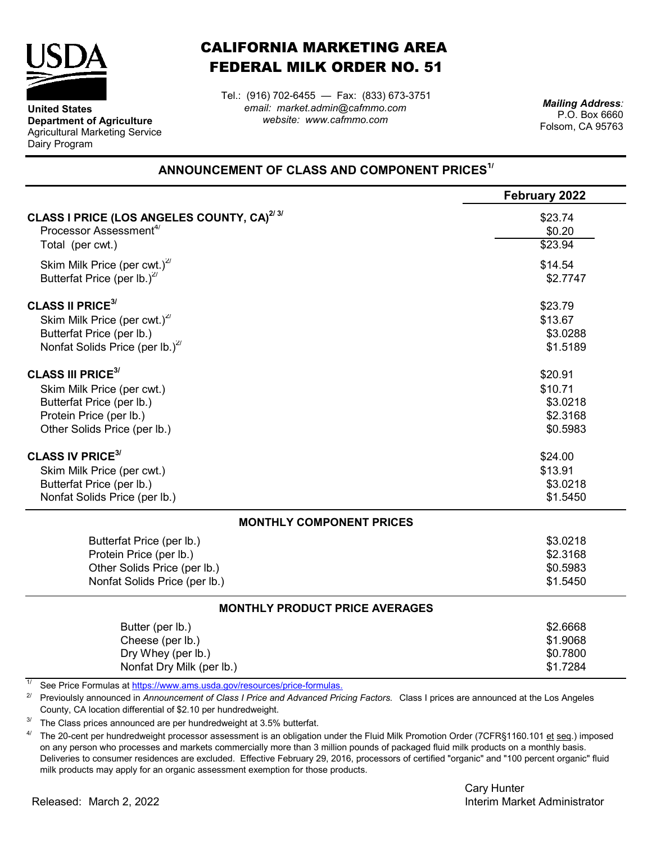

**United States**

Dairy Program

**Department of Agriculture** Agricultural Marketing Service

## CALIFORNIA MARKETING AREA FEDERAL MILK ORDER NO. 51

*email: market.admin@cafmmo.com website: www.cafmmo.com* Tel.: (916) 702-6455 — Fax: (833) 673-3751

*Mailing Address:* P.O. Box 6660 Folsom, CA 95763

## **ANNOUNCEMENT OF CLASS AND COMPONENT PRICES1/**

|                                                                          | <b>February 2022</b> |  |  |  |
|--------------------------------------------------------------------------|----------------------|--|--|--|
| CLASS I PRICE (LOS ANGELES COUNTY, CA) <sup>2/3/</sup>                   | \$23.74              |  |  |  |
| Processor Assessment <sup>4/</sup>                                       | \$0.20               |  |  |  |
| Total (per cwt.)                                                         | \$23.94              |  |  |  |
| Skim Milk Price (per cwt.) $27$                                          | \$14.54              |  |  |  |
| Butterfat Price (per lb.) <sup>2/</sup>                                  | \$2.7747             |  |  |  |
| <b>CLASS II PRICE<sup>3/</sup></b>                                       | \$23.79              |  |  |  |
| Skim Milk Price (per cwt.) <sup>2/</sup>                                 | \$13.67              |  |  |  |
| Butterfat Price (per lb.)                                                | \$3.0288             |  |  |  |
| Nonfat Solids Price (per lb.) $^{27}$                                    | \$1.5189             |  |  |  |
| <b>CLASS III PRICE<sup>3/</sup></b>                                      | \$20.91              |  |  |  |
| Skim Milk Price (per cwt.)                                               | \$10.71              |  |  |  |
| Butterfat Price (per lb.)                                                | \$3.0218             |  |  |  |
| Protein Price (per lb.)                                                  | \$2.3168             |  |  |  |
| Other Solids Price (per lb.)                                             | \$0.5983             |  |  |  |
| <b>CLASS IV PRICE<sup>3/</sup></b>                                       | \$24.00              |  |  |  |
| Skim Milk Price (per cwt.)                                               | \$13.91              |  |  |  |
| Butterfat Price (per lb.)                                                | \$3.0218             |  |  |  |
| Nonfat Solids Price (per lb.)                                            | \$1.5450             |  |  |  |
| <b>MONTHLY COMPONENT PRICES</b>                                          |                      |  |  |  |
| Butterfat Price (per lb.)                                                | \$3.0218             |  |  |  |
| Protein Price (per lb.)                                                  | \$2.3168             |  |  |  |
| Other Solids Price (per lb.)                                             | \$0.5983             |  |  |  |
| Nonfat Solids Price (per lb.)                                            | \$1.5450             |  |  |  |
| <b>MONTHLY PRODUCT PRICE AVERAGES</b>                                    |                      |  |  |  |
| Butter (per lb.)                                                         | \$2.6668             |  |  |  |
| Cheese (per lb.)                                                         | \$1.9068             |  |  |  |
| Dry Whey (per lb.)                                                       | \$0.7800             |  |  |  |
| Nonfat Dry Milk (per lb.)                                                | \$1.7284             |  |  |  |
| See Price Formulas at https://www.ams.usda.gov/resources/price-formulas. |                      |  |  |  |

<sup>2/</sup> Previoulsly announced in *Announcement of Class I Price and Advanced Pricing Factors.* Class I prices are announced at the Los Angeles County, CA location differential of \$2.10 per hundredweight.

3/ The Class prices announced are per hundredweight at 3.5% butterfat.

4/ The 20-cent per hundredweight processor assessment is an obligation under the Fluid Milk Promotion Order (7CFR§1160.101 et seq.) imposed on any person who processes and markets commercially more than 3 million pounds of packaged fluid milk products on a monthly basis. Deliveries to consumer residences are excluded. Effective February 29, 2016, processors of certified "organic" and "100 percent organic" fluid milk products may apply for an organic assessment exemption for those products.